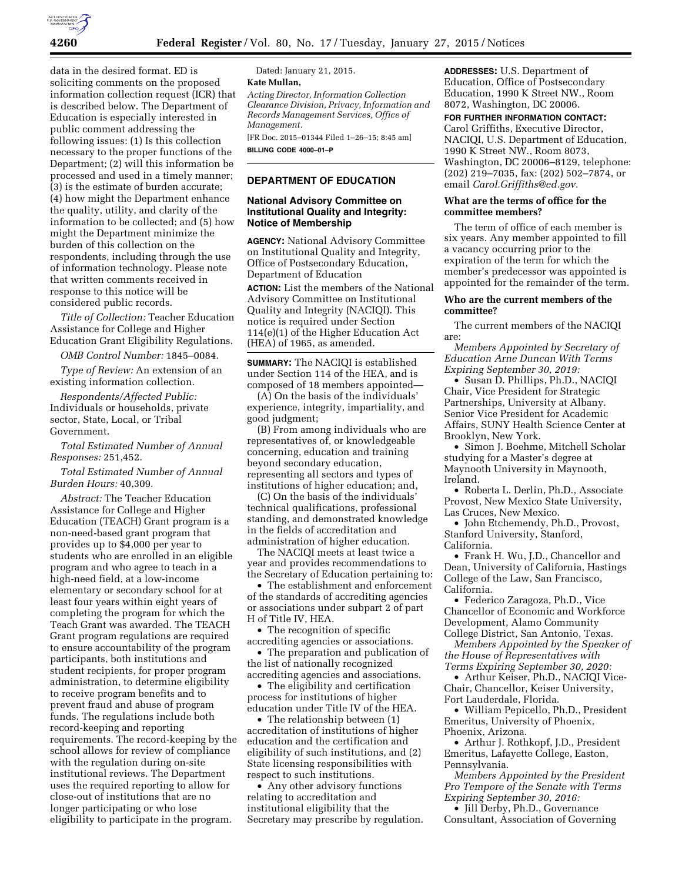

data in the desired format. ED is soliciting comments on the proposed information collection request (ICR) that is described below. The Department of Education is especially interested in public comment addressing the following issues: (1) Is this collection necessary to the proper functions of the Department; (2) will this information be processed and used in a timely manner; (3) is the estimate of burden accurate; (4) how might the Department enhance the quality, utility, and clarity of the information to be collected; and (5) how might the Department minimize the burden of this collection on the respondents, including through the use of information technology. Please note that written comments received in response to this notice will be considered public records.

*Title of Collection:* Teacher Education Assistance for College and Higher Education Grant Eligibility Regulations.

*OMB Control Number:* 1845–0084.

*Type of Review:* An extension of an existing information collection.

*Respondents/Affected Public:*  Individuals or households, private sector, State, Local, or Tribal Government.

*Total Estimated Number of Annual Responses:* 251,452.

*Total Estimated Number of Annual Burden Hours:* 40,309.

*Abstract:* The Teacher Education Assistance for College and Higher Education (TEACH) Grant program is a non-need-based grant program that provides up to \$4,000 per year to students who are enrolled in an eligible program and who agree to teach in a high-need field, at a low-income elementary or secondary school for at least four years within eight years of completing the program for which the Teach Grant was awarded. The TEACH Grant program regulations are required to ensure accountability of the program participants, both institutions and student recipients, for proper program administration, to determine eligibility to receive program benefits and to prevent fraud and abuse of program funds. The regulations include both record-keeping and reporting requirements. The record-keeping by the school allows for review of compliance with the regulation during on-site institutional reviews. The Department uses the required reporting to allow for close-out of institutions that are no longer participating or who lose eligibility to participate in the program.

Dated: January 21, 2015. **Kate Mullan,**  *Acting Director, Information Collection Clearance Division, Privacy, Information and* 

*Records Management Services, Office of Management.*  [FR Doc. 2015–01344 Filed 1–26–15; 8:45 am]

**BILLING CODE 4000–01–P** 

## **DEPARTMENT OF EDUCATION**

# **National Advisory Committee on Institutional Quality and Integrity: Notice of Membership**

**AGENCY:** National Advisory Committee on Institutional Quality and Integrity, Office of Postsecondary Education, Department of Education

**ACTION:** List the members of the National Advisory Committee on Institutional Quality and Integrity (NACIQI). This notice is required under Section 114(e)(1) of the Higher Education Act (HEA) of 1965, as amended.

**SUMMARY:** The NACIQI is established under Section 114 of the HEA, and is composed of 18 members appointed—

(A) On the basis of the individuals' experience, integrity, impartiality, and good judgment;

(B) From among individuals who are representatives of, or knowledgeable concerning, education and training beyond secondary education, representing all sectors and types of institutions of higher education; and,

(C) On the basis of the individuals' technical qualifications, professional standing, and demonstrated knowledge in the fields of accreditation and administration of higher education.

The NACIQI meets at least twice a year and provides recommendations to the Secretary of Education pertaining to:

• The establishment and enforcement of the standards of accrediting agencies or associations under subpart 2 of part H of Title IV, HEA.

• The recognition of specific accrediting agencies or associations.

• The preparation and publication of the list of nationally recognized accrediting agencies and associations.

• The eligibility and certification process for institutions of higher education under Title IV of the HEA.

• The relationship between (1) accreditation of institutions of higher education and the certification and eligibility of such institutions, and (2) State licensing responsibilities with respect to such institutions.

• Any other advisory functions relating to accreditation and institutional eligibility that the Secretary may prescribe by regulation.

**ADDRESSES:** U.S. Department of Education, Office of Postsecondary Education, 1990 K Street NW., Room 8072, Washington, DC 20006.

**FOR FURTHER INFORMATION CONTACT:**  Carol Griffiths, Executive Director, NACIQI, U.S. Department of Education, 1990 K Street NW., Room 8073, Washington, DC 20006–8129, telephone: (202) 219–7035, fax: (202) 502–7874, or email *[Carol.Griffiths@ed.gov.](mailto:Carol.Griffiths@ed.gov)* 

# **What are the terms of office for the committee members?**

The term of office of each member is six years. Any member appointed to fill a vacancy occurring prior to the expiration of the term for which the member's predecessor was appointed is appointed for the remainder of the term.

## **Who are the current members of the committee?**

The current members of the NACIQI are:

*Members Appointed by Secretary of Education Arne Duncan With Terms Expiring September 30, 2019:* 

• Susan D. Phillips, Ph.D., NACIQI Chair, Vice President for Strategic Partnerships, University at Albany. Senior Vice President for Academic Affairs, SUNY Health Science Center at Brooklyn, New York.

• Simon J. Boehme, Mitchell Scholar studying for a Master's degree at Maynooth University in Maynooth, Ireland.

• Roberta L. Derlin, Ph.D., Associate Provost, New Mexico State University, Las Cruces, New Mexico.

• John Etchemendy, Ph.D., Provost, Stanford University, Stanford, California.

• Frank H. Wu, J.D., Chancellor and Dean, University of California, Hastings College of the Law, San Francisco, California.

• Federico Zaragoza, Ph.D., Vice Chancellor of Economic and Workforce Development, Alamo Community College District, San Antonio, Texas.

*Members Appointed by the Speaker of the House of Representatives with Terms Expiring September 30, 2020:* 

• Arthur Keiser, Ph.D., NACIQI Vice-Chair, Chancellor, Keiser University, Fort Lauderdale, Florida.

• William Pepicello, Ph.D., President Emeritus, University of Phoenix, Phoenix, Arizona.

• Arthur J. Rothkopf, J.D., President Emeritus, Lafayette College, Easton, Pennsylvania.

*Members Appointed by the President Pro Tempore of the Senate with Terms Expiring September 30, 2016:* 

• Jill Derby, Ph.D., Governance Consultant, Association of Governing